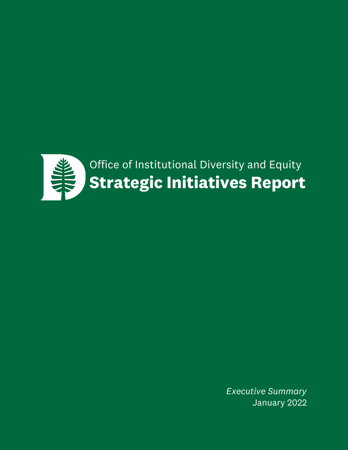

*Executive Summary* January 2022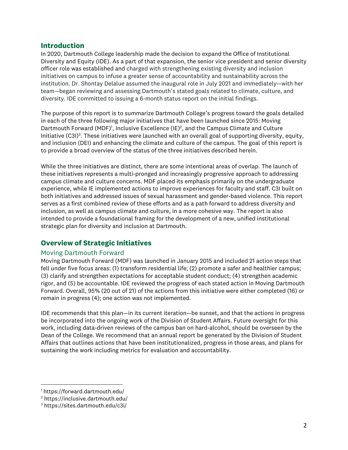#### **Introduction**

In 2020, Dartmouth College leadership made the decision to expand the Office of Institutional Diversity and Equity (IDE). As a part of that expansion, the senior vice president and senior diversity officer role was established and charged with strengthening existing diversity and inclusion initiatives on campus to infuse a greater sense of accountability and sustainability across the institution. Dr. Shontay Delalue assumed the inaugural role in July 2021 and immediately—with her team—began reviewing and assessing Dartmouth's stated goals related to climate, culture, and diversity. IDE committed to issuing a 6-month status report on the initial findings.

The purpose of this report is to summarize Dartmouth College's progress toward the goals detailed in each of the three following major initiatives that have been launched since 2015: Moving Dartmouth Forward (MDF)<sup>1</sup>, Inclusive Excellence (IE)<sup>2</sup>, and the Campus Climate and Culture Initiative (C3I)<sup>3</sup>. These initiatives were launched with an overall goal of supporting diversity, equity, and inclusion (DEI) and enhancing the climate and culture of the campus. The goal of this report is to provide a broad overview of the status of the three initiatives described herein.

While the three initiatives are distinct, there are some intentional areas of overlap. The launch of these initiatives represents a multi-pronged and increasingly progressive approach to addressing campus climate and culture concerns. MDF placed its emphasis primarily on the undergraduate experience, while IE implemented actions to improve experiences for faculty and staff. C3I built on both initiatives and addressed issues of sexual harassment and gender-based violence. This report serves as a first combined review of these efforts and as a path forward to address diversity and inclusion, as well as campus climate and culture, in a more cohesive way. The report is also intended to provide a foundational framing for the development of a new, unified institutional strategic plan for diversity and inclusion at Dartmouth.

## **Overview of Strategic Initiatives**

#### Moving Dartmouth Forward

Moving Dartmouth Forward (MDF) was launched in January 2015 and included 21 action steps that fell under five focus areas: (1) transform residential life; (2) promote a safer and healthier campus; (3) clarify and strengthen expectations for acceptable student conduct; (4) strengthen academic rigor, and (5) be accountable. IDE reviewed the progress of each stated action in Moving Dartmouth Forward. Overall, 95% (20 out of 21) of the actions from this initiative were either completed (16) or remain in progress (4); one action was not implemented.

IDE recommends that this plan—in its current iteration—be sunset, and that the actions in progress be incorporated into the ongoing work of the Division of Student Affairs. Future oversight for this work, including data-driven reviews of the campus ban on hard-alcohol, should be overseen by the Dean of the College. We recommend that an annual report be generated by the Division of Student Affairs that outlines actions that have been institutionalized, progress in those areas, and plans for sustaining the work including metrics for evaluation and accountability.

<sup>1</sup> https://forward.dartmouth.edu/

<sup>2</sup> https://inclusive.dartmouth.edu/

<sup>3</sup> https://sites.dartmouth.edu/c3i/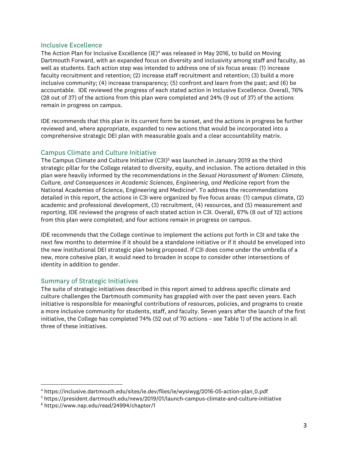#### Inclusive Excellence

The Action Plan for Inclusive Excellence (IE)<sup>4</sup> was released in May 2016, to build on Moving Dartmouth Forward, with an expanded focus on diversity and inclusivity among staff and faculty, as well as students. Each action step was intended to address one of six focus areas: (1) increase faculty recruitment and retention; (2) increase staff recruitment and retention; (3) build a more inclusive community; (4) increase transparency; (5) confront and learn from the past; and (6) be accountable. IDE reviewed the progress of each stated action in Inclusive Excellence. Overall, 76% (28 out of 37) of the actions from this plan were completed and 24% (9 out of 37) of the actions remain in progress on campus.

IDE recommends that this plan in its current form be sunset, and the actions in progress be further reviewed and, where appropriate, expanded to new actions that would be incorporated into a comprehensive strategic DEI plan with measurable goals and a clear accountability matrix.

## Campus Climate and Culture Initiative

The Campus Climate and Culture Initiative (C3I)5 was launched in January 2019 as the third strategic pillar for the College related to diversity, equity, and inclusion. The actions detailed in this plan were heavily informed by the recommendations in the *Sexual Harassment of Women: Climate, Culture, and Consequences in Academic Sciences, Engineering, and Medicine* report from the National Academies of Science, Engineering and Medicine<sup>6</sup>. To address the recommendations detailed in this report, the actions in C3I were organized by five focus areas: (1) campus climate, (2) academic and professional development, (3) recruitment, (4) resources, and (5) measurement and reporting. IDE reviewed the progress of each stated action in C3I. Overall, 67% (8 out of 12) actions from this plan were completed; and four actions remain in progress on campus.

IDE recommends that the College continue to implement the actions put forth in C3I and take the next few months to determine if it should be a standalone initiative or if it should be enveloped into the new institutional DEI strategic plan being proposed. If C3I does come under the umbrella of a new, more cohesive plan, it would need to broaden in scope to consider other intersections of identity in addition to gender.

## Summary of Strategic Initiatives

The suite of strategic initiatives described in this report aimed to address specific climate and culture challenges the Dartmouth community has grappled with over the past seven years. Each initiative is responsible for meaningful contributions of resources, policies, and programs to create a more inclusive community for students, staff, and faculty. Seven years after the launch of the first initiative, the College has completed 74% (52 out of 70 actions – see Table 1) of the actions in all three of these initiatives.

<sup>4</sup> https://inclusive.dartmouth.edu/sites/ie.dev/files/ie/wysiwyg/2016-05-action-plan\_0.pdf

<sup>5</sup> https://president.dartmouth.edu/news/2019/01/launch-campus-climate-and-culture-initiative

<sup>6</sup> https://www.nap.edu/read/24994/chapter/1